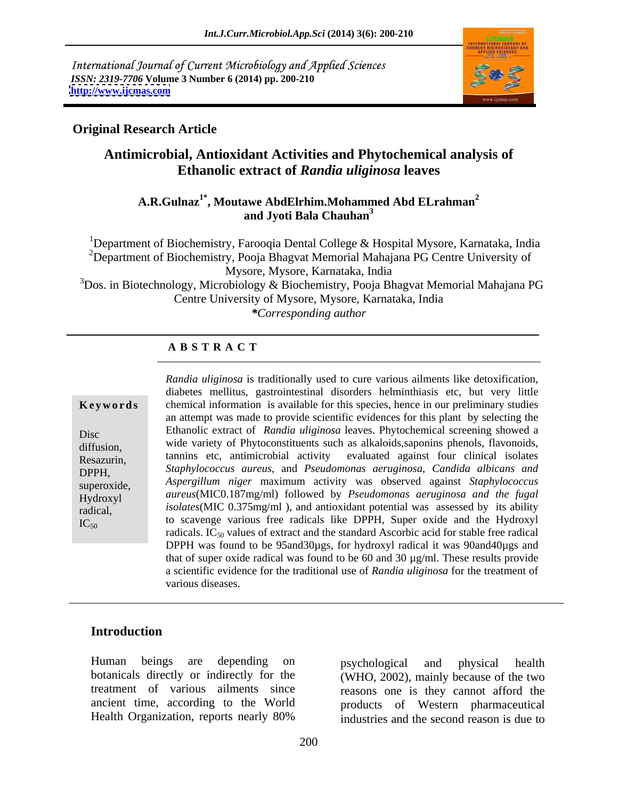International Journal of Current Microbiology and Applied Sciences *ISSN: 2319-7706* **Volume 3 Number 6 (2014) pp. 200-210 <http://www.ijcmas.com>**



### **Original Research Article**

# **Antimicrobial, Antioxidant Activities and Phytochemical analysis of Ethanolic extract of** *Randia uliginosa* **leaves**

### **A.R.Gulnaz1\* , Moutawe AbdElrhim.Mohammed Abd ELrahman<sup>2</sup> and Jyoti Bala Chauhan<sup>3</sup>**

<sup>1</sup>Department of Biochemistry, Farooqia Dental College & Hospital Mysore, Karnataka, India <sup>2</sup>Department of Biochemistry, Pooja Bhagvat Memorial Mahajana PG Centre University of Mysore, Mysore, Karnataka, India  $3$ Dos. in Biotechnology, Microbiology & Biochemistry, Pooja Bhagvat Memorial Mahajana PG Centre University of Mysore, Mysore, Karnataka, India *\*Corresponding author* 

### **A B S T R A C T**

 $\frac{d}{dx}$  the world was assessed by its ability  $IC_{50}$  to scavenge various free radicals like DPPH, Super oxide and the Hydroxyl **Keywords** chemical information is available for this species, hence in our preliminary studies Disc Ethanolic extract of *Randia uliginosa* leaves. Phytochemical screening showed a diffusion, which variety of Phytoconstituents such as alkaloids, saponins phenois, Travonoids,<br>Resazurin, tannins etc. antimicrobial activity evaluated against four clinical isolates<br>DPPH, Staphylococcus aureus, and *Pseud* superoxide, *Aspergillum niger* maximum activity was observed against *Staphylococcus*  Hydroxyl *aureus*(MIC0.187mg/ml) followed by *Pseudomonas aeruginosa and the fugal* radical, *isolates*(MIC 0.375mg/ml ), and antioxidant potential was assessed by its ability *Randia uliginosa* is traditionally used to cure various ailments like detoxification, diabetes mellitus, gastrointestinal disorders helminthiasis etc, but very little an attempt was made to provide scientific evidences for this plant by selecting the wide variety of Phytoconstituents such as alkaloids,saponins phenols, flavonoids, tannins etc, antimicrobial activity evaluated against four clinical isolates radicals.  $IC_{50}$  values of extract and the standard Ascorbic acid for stable free radical DPPH was found to be 95and30ugs, for hydroxyl radical it was 90and40ugs and that of super oxide radical was found to be 60 and 30 µg/ml. These results provide a scientific evidence for the traditional use of *Randia uliginosa* for the treatment of various diseases.

### **Introduction**

Human beings are depending on botanicals directly or indirectly for the (WHO, 2002), mainly because of the two treatment of various ailments since reasons one is they cannot afford the ancient time, according to the World products of Western pharmaceutical

Health Organization, reports nearly 80% industries and the second reason is due to psychological and physical health industries and the second reason is due to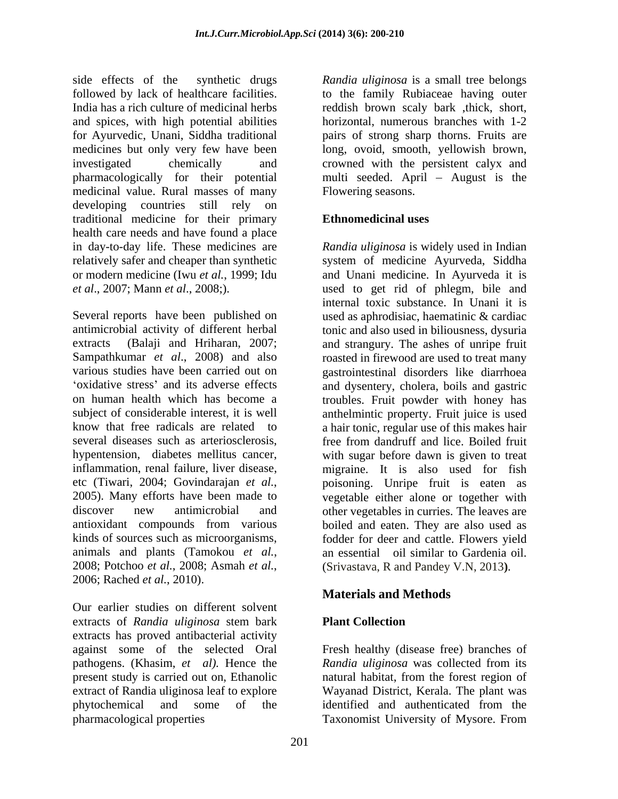side effects of the synthetic drugs *Randia uliginosa* is a small tree belongs followed by lack of healthcare facilities. to the family Rubiaceae having outer India has a rich culture of medicinal herbs reddish brown scaly bark ,thick, short, and spices, with high potential abilities for Ayurvedic, Unani, Siddha traditional medicines but only very few have been long, ovoid, smooth, yellowish brown, investigated chemically and crowned with the persistent calyx and pharmacologically for their potential multi seeded. April – August is the medicinal value. Rural masses of many developing countries still rely on traditional medicine for their primary health care needs and have found a place in day-to-day life. These medicines are *Randia uliginosa* is widely used in Indian relatively safer and cheaper than synthetic system of medicine Ayurveda, Siddha or modern medicine (Iwu *et al.*, 1999; Idu and Unani medicine. In Ayurveda it is

Several reports have been published on used as aphrodisiac, haematinic & cardiac antimicrobial activity of different herbal tonic and also used in biliousness, dysuria extracts (Balaji and Hriharan, 2007; and strangury. The ashes of unripe fruit Sampathkumar *et al.*, 2008) and also constructed in firewood are used to treat many various studies have been carried out on gastrointestinal disorders like diarrhoea on human health which has become a troubles. Fruit powder with honey has subject of considerable interest, it is well anthelmintic property. Fruit juice is used know that free radicals are related to a hair tonic, regular use of this makes hair several diseases such as arteriosclerosis, free from dandruff and lice. Boiled fruit hypentension, diabetes mellitus cancer, with sugar before dawn is given to treat inflammation, renal failure, liver disease, migraine. It is also used for fish etc (Tiwari, 2004; Govindarajan *et al.*, poisoning. Unripe fruit is eaten as <br>2005). Many efforts have been made to vegetable either alone or together with discover new antimicrobial and other vegetables in curries. The leaves are antioxidant compounds from various boiled and eaten. They are also used as kinds of sources such as microorganisms, fodder for deer and cattle. Flowers yield animals and plants (Tamokou *et al.*, an essential oil similar to Gardenia oil.<br>2008; Potchoo *et al.*, 2008; Asmah *et al.*, (Srivastava, R and Pandey V.N, 2013).<br>2006; Rached *et al.*, 2010).

Our earlier studies on different solvent extracts of *Randia uliginosa* stem bark extracts has proved antibacterial activity against some of the selected Oral Fresh healthy (disease free) branches of pathogens. (Khasim, *et al).* Hence the present study is carried out on, Ethanolic natural habitat, from the forest region of extract of Randia uliginosa leaf to explore phytochemical and some of the identified and authenticated from the pharmacological properties Taxonomist University of Mysore. From pharmacological properties Taxonomist University of Mysore. From

horizontal, numerous branches with 1-2 pairs of strong sharp thorns. Fruits are Flowering seasons.

# **Ethnomedicinal uses**

*et al*., 2007; Mann *et al*., 2008;). used to get rid of phlegm, bile and oxidative stress' and its adverse effects and dysentery, cholera, boils and gastric internal toxic substance. In Unani it is poisoning. Unripe fruit is eaten as vegetable either alone or together with an essential oil similar to Gardenia oil. (Srivastava, R and Pandey V.N, 2013**)***.*

# **Materials and Methods**

### **Plant Collection**

*Randia uliginosa* was collected from its Wayanad District, Kerala. The plant was identified and authenticated from the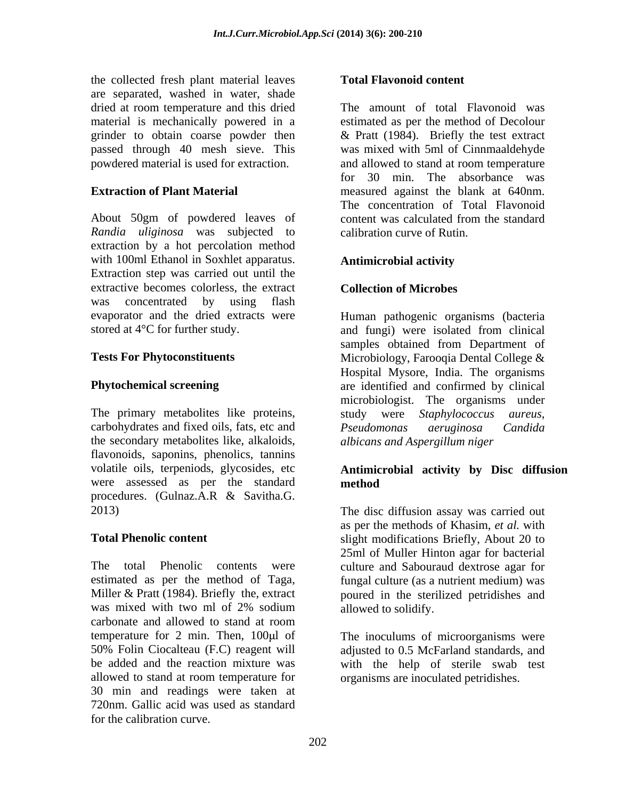the collected fresh plant material leaves are separated, washed in water, shade dried at room temperature and this dried powdered material is used for extraction.

About 50gm of powdered leaves of *Randia uliginosa* was subjected to extraction by a hot percolation method with 100ml Ethanol in Soxhlet apparatus. **Antimicrobial activity** Extraction step was carried out until the extractive becomes colorless, the extract was concentrated by using flash evaporator and the dried extracts were Human pathogenic organisms (bacteria stored at 4<sup>°</sup>C for further study. and fungi) were isolated from clinical

The primary metabolites like proteins, study were *Staphylococcus aureus,* carbohydrates and fixed oils, fats, etc and Pseudomonas aeruginosa Candida the secondary metabolites like, alkaloids, flavonoids, saponins, phenolics, tannins were assessed as per the standard procedures. (Gulnaz.A.R & Savitha.G.

The total Phenolic contents were culture and Sabouraud dextrose agar for estimated as per the method of Taga, fungal culture (as a nutrient medium) was Miller & Pratt (1984). Briefly the, extract poured in the sterilized petridishes and was mixed with two ml of 2% sodium allowed to solidify. carbonate and allowed to stand at room temperature for 2 min. Then,  $100 \mu l$  of 50% Folin Ciocalteau (F.C) reagent will adjusted to 0.5 McFarland standards, and be added and the reaction mixture was with the help of sterile swab test allowed to stand at room temperature for 30 min and readings were taken at 720nm. Gallic acid was used as standard for the calibration curve.

### **Total Flavonoid content**

material is mechanically powered in a estimated as per the method of Decolour grinder to obtain coarse powder then & Pratt (1984). Briefly the test extract passed through 40 mesh sieve. This was mixed with 5ml of Cinnmaaldehyde **Extraction of Plant Material** measured against the blank at 640nm. The amount of total Flavonoid was and allowed to stand at room temperature for 30 min. The absorbance was The concentration of Total Flavonoid content was calculated from the standard calibration curve of Rutin.

### **Antimicrobial activity**

### **Collection of Microbes**

**Tests For Phytoconstituents** Microbiology, Farooqia Dental College & **Phytochemical screening** are identified and confirmed by clinical and fungi) were isolated from clinical samples obtained from Department of Hospital Mysore, India. The organisms microbiologist. The organisms under *Pseudomonas aeruginosa Candida albicans and Aspergillum niger* 

### volatile oils, terpeniods, glycosides, etc **Antimicrobial activity by Disc diffusion method**

2013) The disc diffusion assay was carried out **Total Phenolic content** slight modifications Briefly, About 20 to as per the methods of Khasim, *et al.* with 25ml of Muller Hinton agar for bacterial allowed to solidify.

> The inoculums of microorganisms were organisms are inoculated petridishes.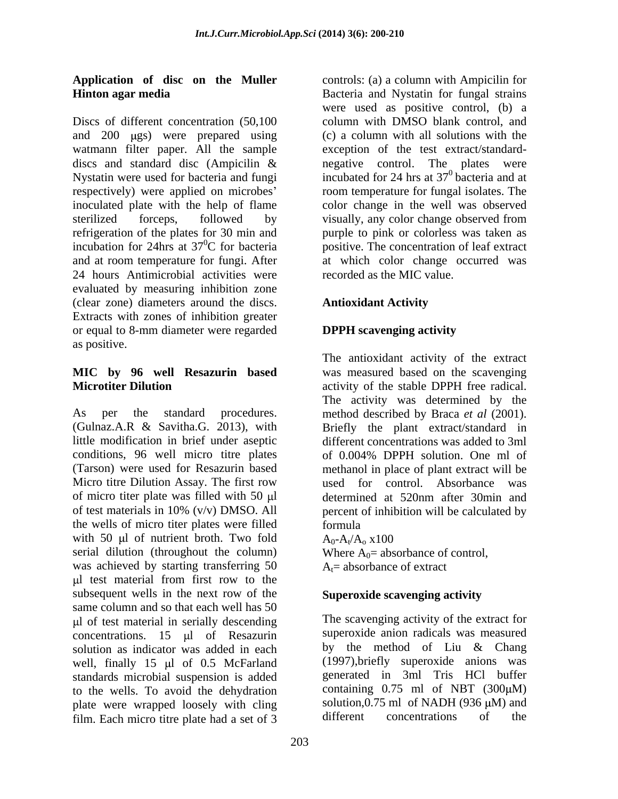Discs of different concentration (50,100 and  $200 \text{ }$  ugs) were prepared using watmann filter paper. All the sample sterilized forceps, followed by visually, any color change observed from refrigeration of the plates for 30 min and and at room temperature for fungi. After 24 hours Antimicrobial activities were evaluated by measuring inhibition zone (clear zone) diameters around the discs. Extracts with zones of inhibition greater or equal to 8-mm diameter were regarded as positive.

As per the standard procedures. method described by Braca *et al* (2001). (Gulnaz.A.R & Savitha.G. 2013), with Briefly the plant extract/standard in little modification in brief under aseptic different concentrations was added to 3ml conditions, 96 well micro titre plates of 0.004% DPPH solution. One ml of (Tarson) were used for Resazurin based methanol in place of plant extract will be Micro titre Dilution Assay. The first row used for control. Absorbance was of micro titer plate was filled with 50  $\mu$  determined at 520nm after 30min and of test materials in 10% (v/v) DMSO. All percent of inhibition will be calculated by the wells of micro titer plates were filled with 50  $\mu$ l of nutrient broth. Two fold  $A_0 - A_1/A_0 \times 100$ serial dilution (throughout the column) was achieved by starting transferring 50 l test material from first row to the subsequent wells in the next row of the same column and so that each well has 50 l of test material in serially descending concentrations. 15  $\mu$ l of Resazurin superoxide anion radicals was measured solution as indicator was added in each by the method of Liu & Chang solution as indicator was added in each well, finally  $15 \mu l$  of 0.5 McFarland standards microbial suspension is added to the wells. To avoid the dehydration plate were wrapped loosely with cling solution, 0.75 ml of NADH (936  $\mu$ M) and film Each micro titre plate had a set of 3 different concentrations of the film. Each micro titre plate had a set of 3

**Application of disc on the Muller** controls: (a) a column with Ampicilin for **Hinton agar media** Bacteria and Nystatin for fungal strains discs and standard disc (Ampicilin  $\&$  negative control. The plates were Nystatin were used for bacteria and fungi  $\qquad \qquad$  incubated for 24 hrs at 37<sup>0</sup> bacteria and at respectively) were applied on microbes' com temperature for fungal isolates. The inoculated plate with the help of flame color change in the well was observed incubation for 24hrs at 37 0C for bacteria positive. The concentration of leaf extract were used as positive control, (b) a column with DMSO blank control, and (c) a column with all solutions with the exception of the test extract/standard negative control. The plates were incubated for 24 hrs at  $37^{\circ}$  bacteria and at  $\overline{0}$  heater is and at bacteria and at visually, any color change observed from purple to pink or colorless was taken as at which color change occurred was recorded as the MIC value.

# **Antioxidant Activity**

# **DPPH scavenging activity**

**MIC by 96 well Resazurin based** was measured based on the scavenging **Microtiter Dilution activity of the stable DPPH** free radical. The antioxidant activity of the extract The activity was determined by the of 0.004% DPPH solution. One ml of formula

 $A_0$ - $A_t/A_0$  x100  $/A_0$  x100 Where  $A_0$ = absorbance of control,  $A<sub>t</sub>$  = absorbance of extract

# **Superoxide scavenging activity**

The scavenging activity of the extract for superoxide anion radicals was measured by the method of Liu & Chang (1997),briefly superoxide anions was generated in 3ml Tris HCl buffer containing  $0.75$  ml of NBT  $(300 \mu M)$ solution,  $0.75$  ml of NADH (936  $\mu$ M) and different concentrations of the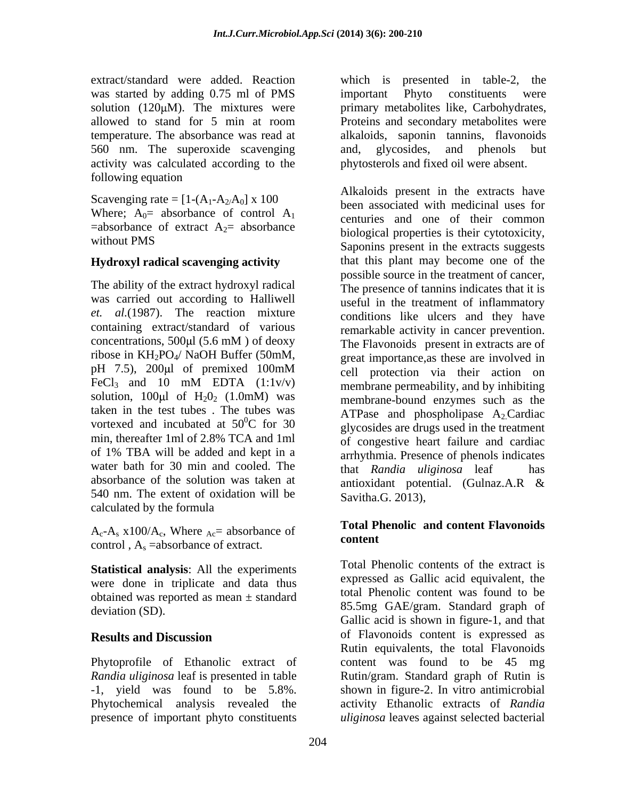was started by adding 0.75 ml of PMS important Phyto constituents were 560 nm. The superoxide scavenging activity was calculated according to the following equation

Scavenging rate =  $[1-(A_1-A_2/A_0] \times 100$ Where;  $A_0$ = absorbance of control  $A_1$  $=$ absorbance of extract A<sub>2</sub> $=$  absorbance without PMS

### **Hydroxyl radical scavenging activity**

The ability of the extract hydroxyl radical was carried out according to Halliwell *et. al.*(1987). The reaction mixture containing extract/standard of various ribose in KH2PO4/ NaOH Buffer (50mM, taken in the test tubes . The tubes was min, thereafter 1ml of 2.8% TCA and 1ml of 1% TBA will be added and kept in a water bath for 30 min and cooled. The that Randia uliginosa leaf has absorbance of the solution was taken at antioxidant potential. (Gulnaz.A.R & 540 nm. The extent of oxidation will be calculated by the formula

 $A_c-A_s$  x100/ $A_c$ , Where  $_{Ac}$  absorbance of  $\overline{1}$  ordent content control ,  $A_s$  = absorbance of extract.

**Statistical analysis**: All the experiments were done in triplicate and data thus obtained was reported as mean ± standard

*Randia uliginosa* leaf is presented in table presence of important phyto constituents *uliginosa* leaves against selected bacterial

extract/standard were added. Reaction which is presented in table-2, the solution (120µM). The mixtures were primary metabolites like, Carbohydrates, allowed to stand for 5 min at room Proteins and secondary metabolites were temperature. The absorbance was read at alkaloids, saponin tannins, flavonoids important Phyto constituents were Proteins and secondary metabolites were and, glycosides, and phenols but phytosterols and fixed oil were absent.

without PMS<br>
Saponins present in the extracts suggests concentrations,  $500 \mu$  (5.6 mM) of deoxy The Flavonoids present in extracts are of pH 7.5), 200 $\mu$ l of premixed 100mM  $\epsilon$  cell protection via their action on FeCl<sub>3</sub> and 10 mM EDTA  $(1:1v/v)$  membrane permeability, and by inhibiting solution,  $100 \mu l$  of  $H_2 O_2$  (1.0mM) was membrane-bound enzymes such as the vortexed and incubated at  $50^{\circ}$ C for 30 glycosides are drugs used in the treatment  $^{0}C$  for 30 shows are drugs used in the treatment Alkaloids present in the extracts have been associated with medicinal uses for centuries and one of their common biological properties is their cytotoxicity, that this plant may become one of the possible source in the treatment of cancer, The presence of tannins indicates that it is useful in the treatment of inflammatory conditions like ulcers and they have remarkable activity in cancer prevention. The Flavonoids present in extracts are of great importance,as these are involved in cell protection via their action on membrane permeability, and by inhibiting ATPase and phospholipase  $A_2$ Cardiac of congestive heart failure and cardiac arrhythmia. Presence of phenols indicates that *Randia uliginosa* leaf antioxidant potential. (Gulnaz.A.R & Savitha.G. 2013),

### **Total Phenolic and content Flavonoids content**

deviation (SD). 85.5mg GAE/gram. Standard graph of **Results and Discussion Secure 2018** of Flavonoids content is expressed as Phytoprofile of Ethanolic extract of content was found to be 45 mg -1, yield was found to be 5.8%. shown in figure-2. In vitro antimicrobial Phytochemical analysis revealed the activity Ethanolic extracts of *Randia* Total Phenolic contents of the extract is expressed as Gallic acid equivalent, the total Phenolic content was found to be Gallic acid is shown in figure-1, and that of Flavonoids content is expressed as Rutin equivalents, the total Flavonoids Rutin/gram. Standard graph of Rutin is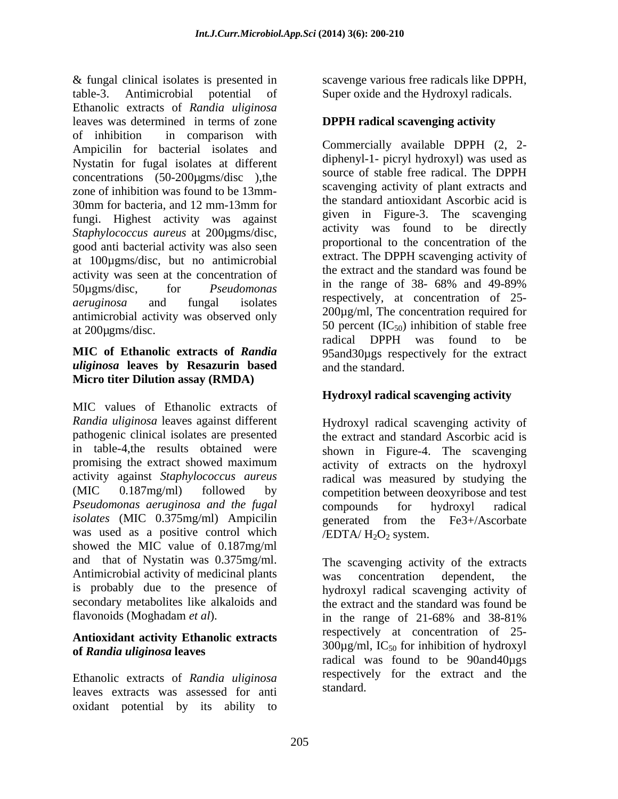& fungal clinical isolates is presented in table-3. Antimicrobial potential of Super oxide and the Hydroxyl radicals. Ethanolic extracts of *Randia uliginosa* leaves was determined in terms of zone of inhibition in comparison with Ampicilin for bacterial isolates and Nystatin for fugal isolates at different concentrations (50-200µgms/disc ),the zone of inhibition was found to be 13mm- 30mm for bacteria, and 12 mm-13mm for the standard annoxidant Ascoroic acid is fungi. Highest activity was against *Staphylococcus aureus* at 200µgms/disc, good anti bacterial activity was also seen at 100µgms/disc, but no antimicrobial activity was seen at the concentration of 50µgms/disc, for *Pseudomonas* in the range of 38- 68% and 49-89% *aeruginosa* and fungal isolates antimicrobial activity was observed only  $50$  percent  $(IC_{50})$  inhibition of stable free at 200 ugms/disc.

# *uliginosa* **leaves by Resazurin based Micro titer Dilution assay (RMDA)**

MIC values of Ethanolic extracts of *Randia uliginosa* leaves against different Hydroxyl radical scavenging activity of pathogenic clinical isolates are presented the extract and standard Ascorbic acid is in table-4,the results obtained were shown in Figure-4. The scavenging promising the extract showed maximum activity of extracts on the hydroxyl activity against *Staphylococcus aureus* radical was measured by studying the (MIC 0.187mg/ml) followed by competition between deoxyribose and test *Pseudomonas aeruginosa and the fugal isolates* (MIC 0.375mg/ml) Ampicilin generated from the Fe3+/Ascorbate was used as a positive control which showed the MIC value of 0.187mg/ml and that of Nystatin was 0.375mg/ml. Antimicrobial activity of medicinal plants was concentration dependent, the is probably due to the presence of

### **Antioxidant activity Ethanolic extracts of** *Randia uliginosa* **leaves**

Ethanolic extracts of *Randia uliginosa* leaves extracts was assessed for anti oxidant potential by its ability to scavenge various free radicals like DPPH,

# **DPPH radical scavenging activity**

**MIC of Ethanolic extracts of** *Randia*  95and30µgs respectively for the extract Commercially available DPPH (2, 2 diphenyl-1- picryl hydroxyl) was used as source of stable free radical. The DPPH scavenging activity of plant extracts and the standard antioxidant Ascorbic acid is given in Figure-3. The scavenging activity was found to be directly proportional to the concentration of the extract. The DPPH scavenging activity of the extract and the standard was found be in the range of 38- 68% and 49-89% respectively, at concentration of 25- 200µg/ml, The concentration required for radical DPPH was found to be and the standard.

# **Hydroxyl radical scavenging activity**

compounds for hydroxyl radical  $/EDTA/ H<sub>2</sub>O<sub>2</sub> system.$ 

secondary metabolites like alkaloids and the extract and the standard was found be flavonoids (Moghadam *et al*). The scavenging activity of the extracts was concentration dependent, the hydroxyl radical scavenging activity of in the range of 21-68% and 38-81% respectively at concentration of 25-  $300\mu$ g/ml, IC<sub>50</sub> for inhibition of hydroxyl radical was found to be 90and40µgs respectively for the extract and the standard.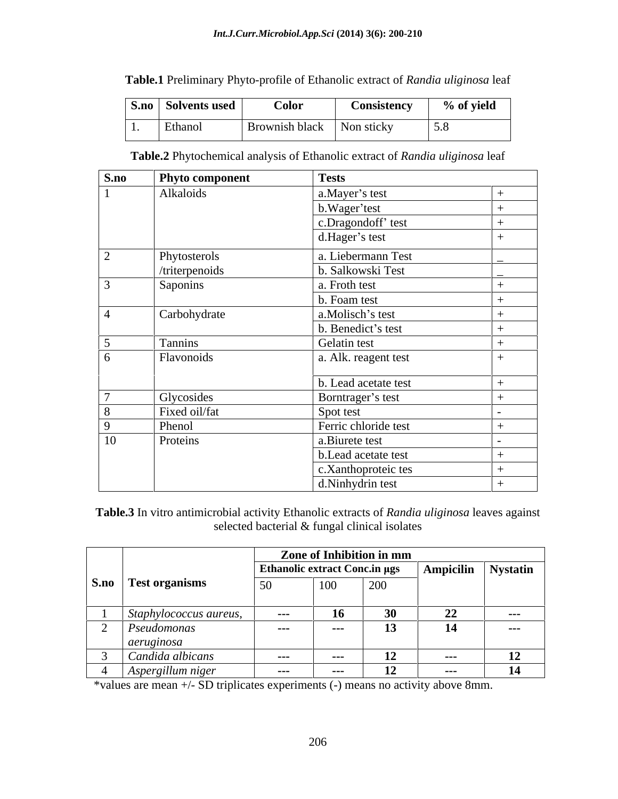| rable.1<br>$\sim$ $\sim$ $\sim$<br>Preliminary<br>y Phyto-profile of Ethanolic extract of Rance<br><i>india uliginosa</i> leaf |  |
|--------------------------------------------------------------------------------------------------------------------------------|--|
|--------------------------------------------------------------------------------------------------------------------------------|--|

### **Table.2** Phytochemical analysis of Ethanolic extract of *Randia uliginosa* leaf

| S.no           | <b>Phyto component</b> | <b>Tests</b>         |  |
|----------------|------------------------|----------------------|--|
|                | Alkaloids              | a.Mayer's test       |  |
|                |                        | b.Wager'test         |  |
|                |                        | c.Dragondoff' test   |  |
|                |                        | d.Hager's test       |  |
| $\overline{2}$ | Phytosterols           | a. Liebermann Test   |  |
|                | /triterpenoids         | b. Salkowski Test    |  |
|                | Saponins               | a. Froth test        |  |
|                |                        | b. Foam test         |  |
|                | Carbohydrate           | a.Molisch's test     |  |
|                |                        | b. Benedict's test   |  |
|                | Tannins                | Gelatin test         |  |
| 6              | <b>Flavonoids</b>      | a. Alk. reagent test |  |
|                |                        | b. Lead acetate test |  |
| $\sqrt{ }$     | Glycosides             | Borntrager's test    |  |
| 8              | Fixed oil/fat          | Spot test            |  |
| $\mathbf{Q}$   | Phenol                 | Ferric chloride test |  |
| 10             | Proteins               | a.Biurete test       |  |
|                |                        | b.Lead acetate test  |  |
|                |                        | c.Xanthoproteic tes  |  |
|                |                        | d.Ninhydrin test     |  |

**Table.3** In vitro antimicrobial activity Ethanolic extracts of *Randia uliginosa* leaves against selected bacterial & fungal clinical isolates

|                        |                      | Zone of Inhibition in mm    |         |    |                                                      |      |
|------------------------|----------------------|-----------------------------|---------|----|------------------------------------------------------|------|
|                        |                      |                             |         |    | Ethanolic extract Conc.in µgs   Ampicilin   Nystatin |      |
| S.no Test organisms    | 50                   | $\sim$ $\sim$<br><b>TOO</b> | 200     |    |                                                      |      |
|                        |                      |                             |         |    |                                                      |      |
| Staphylococcus aureus, | $\sim$ $\sim$ $\sim$ |                             | ın      |    | 22                                                   | ---  |
| Pseudomonas            | ----                 |                             | $- - -$ | 13 | 14                                                   | ---- |
| aeruginosa             |                      |                             |         |    |                                                      |      |
| Candida albicans       | ----                 |                             | $- - -$ | 12 | $- - -$                                              |      |
| Aspergillum niger      | $- - -$              |                             | $- - -$ | 12 | $- - -$                                              |      |

\*values are mean +/- SD triplicates experiments (-) means no activity above 8mm.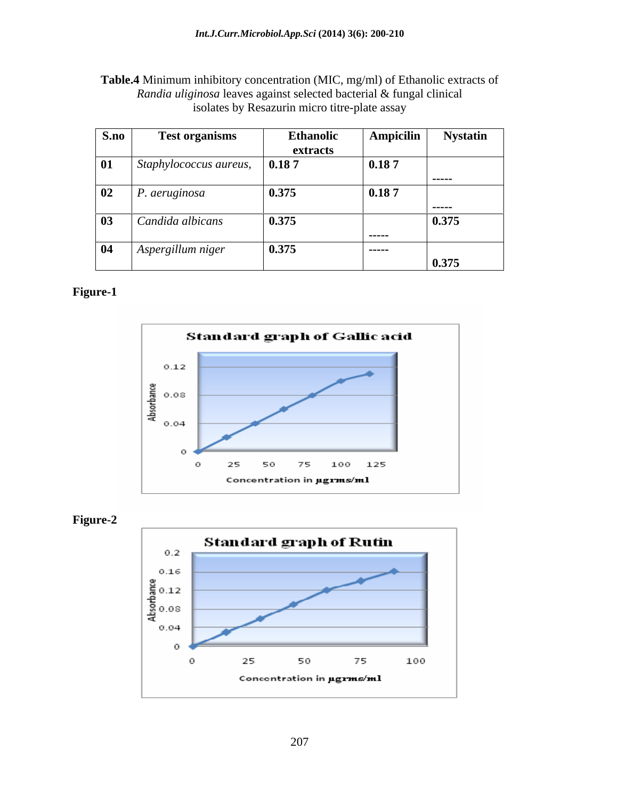**Table.4** Minimum inhibitory concentration (MIC, mg/ml) of Ethanolic extracts of *Randia uliginosa* leaves against selected bacterial & fungal clinical isolates by Resazurin micro titre-plate assay

| S.no           | <b>Test organisms</b>                        | <b>Ethanolic</b> | <b>Ampicilin</b> | <b>Nystatin</b> |
|----------------|----------------------------------------------|------------------|------------------|-----------------|
|                |                                              | extracts         |                  |                 |
| 01             | $\vert$ Staphylococcus aureus, $\vert$ 0.187 |                  | 0.187            |                 |
|                |                                              |                  |                  | ------          |
| 02             | $\vert$ P. aeruginosa                        | 0.375            | 0.187            |                 |
|                |                                              |                  |                  | -----           |
| $\blacksquare$ | Candida albicans                             | 0.375            |                  | 0.375           |
|                |                                              |                  | ------           |                 |
| 04             | Aspergillum niger                            | 0.375            | ------           |                 |
|                |                                              |                  |                  | 0.375           |

### **Figure-1**





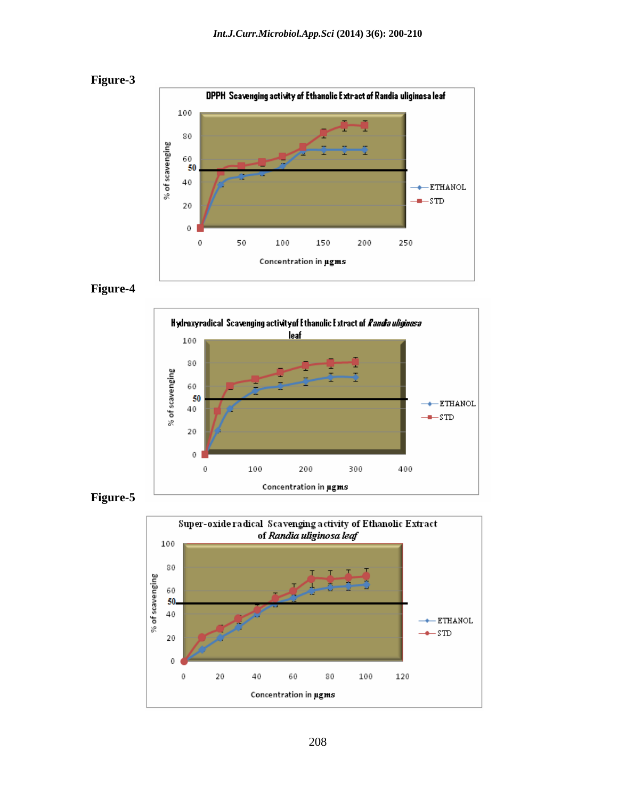







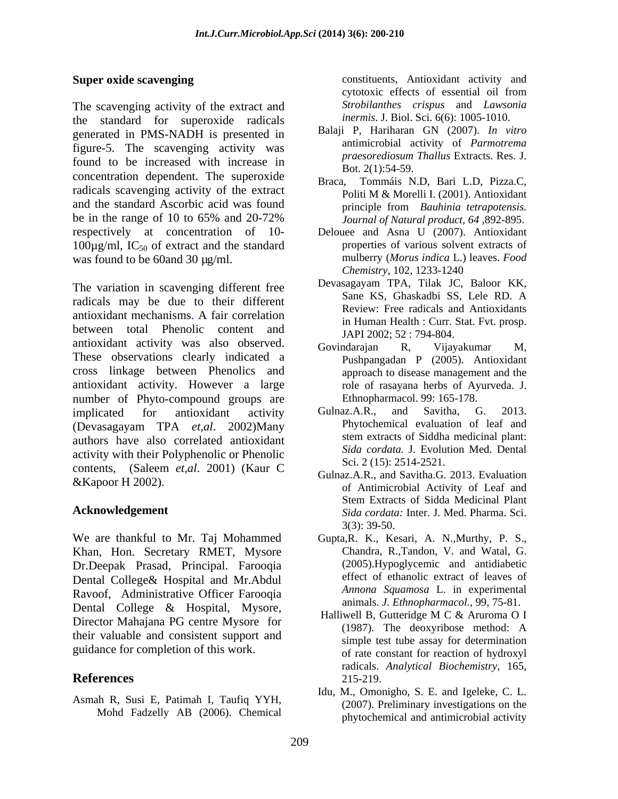The scavenging activity of the extract and the standard for superoxide radicals generated in PMS-NADH is presented in figure-5. The scavenging activity was found to be increased with increase in concentration dependent. The superoxide Braca. radicals scavenging activity of the extract and the standard Ascorbic acid was found principle from Bauhinia tetrapotensis. be in the range of 10 to 65% and 20-72% *Journal of Natural product, 64,892-895.* respectively at concentration of 10-  $100\mu$ g/ml, IC<sub>50</sub> of extract and the standard

The variation in scavenging different free<br>Sane KS, Ghaskadbi SS, Lele RD. A radicals may be due to their different antioxidant mechanisms. A fair correlation between total Phenolic content and antioxidant activity was also observed. Govindarajan R, Vijayakumar M, These observations clearly indicated a cross linkage between Phenolics and antioxidant activity. However a large number of Phyto-compound groups are Ethnophi<br>
implicated for antioxidant activity Gulnaz.A.R. implicated for antioxidant activity Gulnaz.A.R., and Savitha, G. 2013. (Devasagayam TPA *et,al*. 2002)Many authors have also correlated antioxidant activity with their Polyphenolic or Phenolic contents, (Saleem *et,al*. 2001) (Kaur C

We are thankful to Mr. Taj Mohammed Khan, Hon. Secretary RMET, Mysore Dr.Deepak Prasad, Principal. Farooqia Dental College& Hospital and Mr.Abdul Ravoof, Administrative Officer Farooqia Dental College & Hospital, Mysore,<br>Director Mahajana PG centre Mysore for Halliwell B, Gutteridge M C & Aruroma O I Director Manajana PG centre Mysore for<br>their valuable and consistent support and<br>example test this essent for determination guidance for completion of this work.

Asmah R, Susi E, Patimah I, Taufiq YYH, Mohd Fadzelly AB (2006). Chemical

**Super oxide scavenging** external constituents, Antioxidant activity and cytotoxic effects of essential oil from *Strobilanthes crispus* and *Lawsonia inermis*. J. Biol. Sci. 6(6): 1005-1010.

- Balaji P, Hariharan GN (2007). *In vitro* antimicrobial activity of *Parmotrema praesorediosum Thallus* Extracts. Res. J. Bot. 2(1):54-59.
- Tommáis N.D, Bari L.D, Pizza.C, Politi M & Morelli I. (2001). Antioxidant principle from *Bauhinia tetrapotensis. Journal of Natural product, 64 ,*892-895.
- was found to be 60and 30 µg/ml.<br>
The mulberry (*Morus indica* L.)<br>
Chemistry, 102, 1233-1240 Delouee and Asna U (2007). Antioxidant properties of various solvent extracts of mulberry (*Morus indica* L.) leaves. *Food Chemistry*, 102, 1233-1240
	- Devasagayam TPA, Tilak JC, Baloor KK, Sane KS, Ghaskadbi SS, Lele RD. A Review: Free radicals and Antioxidants in Human Health : Curr. Stat. Fvt. prosp. JAPI 2002; 52 : 794-804.
	- Govindarajan R, Vijayakumar M, Pushpangadan P (2005). Antioxidant approach to disease management and the role of rasayana herbs of Ayurveda. J. Ethnopharmacol. 99: 165-178.
	- Gulnaz.A.R., and Savitha, G. 2013. Phytochemical evaluation of leaf and stem extracts of Siddha medicinal plant: *Sida cordata.* J. Evolution Med. Dental Sci. 2 (15): 2514-2521.
- **Example 18 Allen Collection** Summatrices and Summatrices 2015. Evaluation of Antimicrobial Activity of Leaf and **Acknowledgement** *Sida cordata:* Inter. J. Med. Pharma. Sci. Gulnaz.A.R., and Savitha.G. 2013. Evaluation Stem Extracts of Sidda Medicinal Plant 3(3): 39-50.
	- Gupta,R. K., Kesari, A. N.,Murthy, P.S., Chandra, R.,Tandon, V. and Watal, G. (2005).Hypoglycemic and antidiabetic effect of ethanolic extract of leaves of *Annona Squamosa* L. in experimental animals. *J. Ethnopharmacol.,* 99, 75-81.
- **References** 215-219. Halliwell B, Gutteridge M C & Aruroma O I (1987). The deoxyribose method: A simple test tube assay for determination of rate constant for reaction of hydroxyl radicals. *Analytical Biochemistry,* 165, 215-219.
	- Idu, M., Omonigho, S. E. and Igeleke, C. L. (2007). Preliminary investigations on the phytochemical and antimicrobial activity